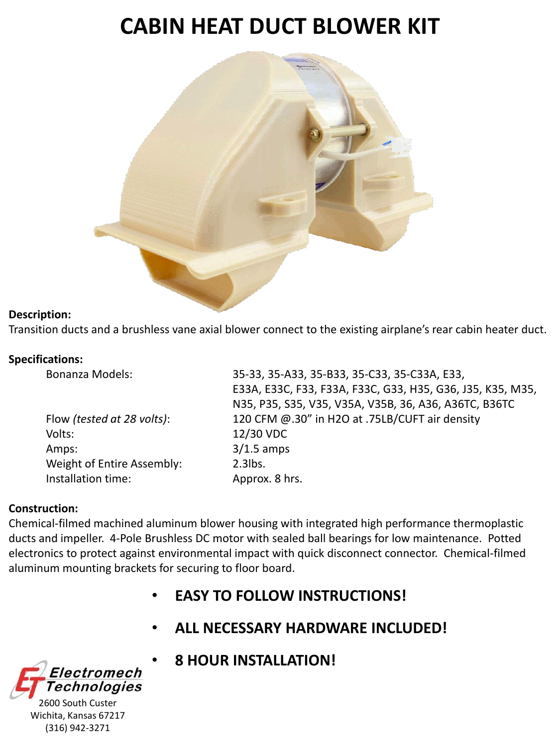# **CABIN HEAT DUCT BLOWER KIT**



### **Description:**

Transition ducts and a brushless vane axial blower connect to the existing airplane's rear cabin heater duct.

#### **Specifications:**

Volts: 12/30 VDC Amps: 3/1.5 amps Weight of Entire Assembly: 2.3lbs. Installation time: Approx. 8 hrs.

Bonanza Models: 35-33, 35-A33, 35-B33, 35-C33, 35-C33A, E33, E33A, E33C, F33, F33A, F33C, G33, H35, G36, J35, K35, M35, N35, P35, S35, V35, V35A, V35B, 36, A36, A36TC, B36TC Flow *(tested at 28 volts)*: 120 CFM @.30" in H2O at .75LB/CUFT air density

## **Construction:**

Chemical-filmed machined aluminum blower housing with integrated high performance thermoplastic ducts and impeller. 4-Pole Brushless DC motor with sealed ball bearings for low maintenance. Potted electronics to protect against environmental impact with quick disconnect connector. Chemical-filmed aluminum mounting brackets for securing to floor board.

- **EASY TO FOLLOW INSTRUCTIONS!**
- **ALL NECESSARY HARDWARE INCLUDED!**
- Electromech **Technologies**

• **8 HOUR INSTALLATION!**

2600 South Custer Wichita, Kansas 67217 (316) 942-3271